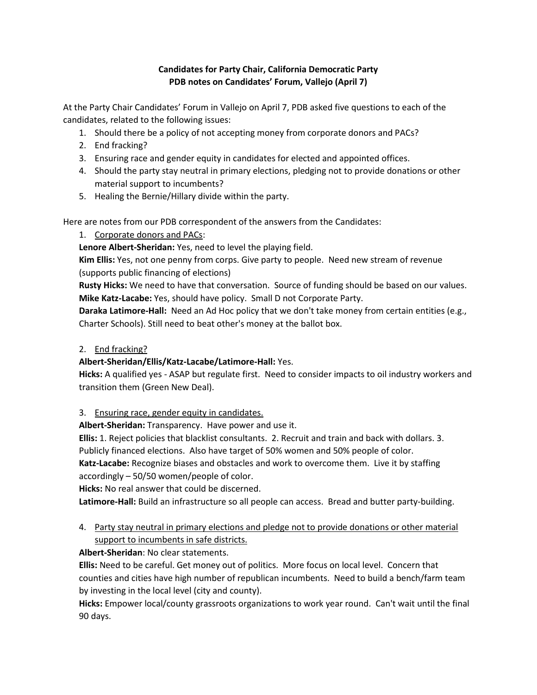## **Candidates for Party Chair, California Democratic Party PDB notes on Candidates' Forum, Vallejo (April 7)**

At the Party Chair Candidates' Forum in Vallejo on April 7, PDB asked five questions to each of the candidates, related to the following issues:

- 1. Should there be a policy of not accepting money from corporate donors and PACs?
- 2. End fracking?
- 3. Ensuring race and gender equity in candidates for elected and appointed offices.
- 4. Should the party stay neutral in primary elections, pledging not to provide donations or other material support to incumbents?
- 5. Healing the Bernie/Hillary divide within the party.

Here are notes from our PDB correspondent of the answers from the Candidates:

1. Corporate donors and PACs:

**Lenore Albert-Sheridan:** Yes, need to level the playing field.

**Kim Ellis:** Yes, not one penny from corps. Give party to people. Need new stream of revenue (supports public financing of elections)

**Rusty Hicks:** We need to have that conversation. Source of funding should be based on our values. **Mike Katz-Lacabe:** Yes, should have policy. Small D not Corporate Party.

**Daraka Latimore-Hall:** Need an Ad Hoc policy that we don't take money from certain entities (e.g., Charter Schools). Still need to beat other's money at the ballot box.

## 2. End fracking?

## **Albert-Sheridan/Ellis/Katz-Lacabe/Latimore-Hall:** Yes.

**Hicks:** A qualified yes - ASAP but regulate first. Need to consider impacts to oil industry workers and transition them (Green New Deal).

3. Ensuring race, gender equity in candidates.

**Albert-Sheridan:** Transparency. Have power and use it.

**Ellis:** 1. Reject policies that blacklist consultants. 2. Recruit and train and back with dollars. 3.

Publicly financed elections. Also have target of 50% women and 50% people of color.

**Katz-Lacabe:** Recognize biases and obstacles and work to overcome them. Live it by staffing accordingly – 50/50 women/people of color.

**Hicks:** No real answer that could be discerned.

**Latimore-Hall:** Build an infrastructure so all people can access. Bread and butter party-building.

4. Party stay neutral in primary elections and pledge not to provide donations or other material support to incumbents in safe districts.

## **Albert-Sheridan**: No clear statements.

**Ellis:** Need to be careful. Get money out of politics. More focus on local level. Concern that counties and cities have high number of republican incumbents. Need to build a bench/farm team by investing in the local level (city and county).

**Hicks:** Empower local/county grassroots organizations to work year round. Can't wait until the final 90 days.